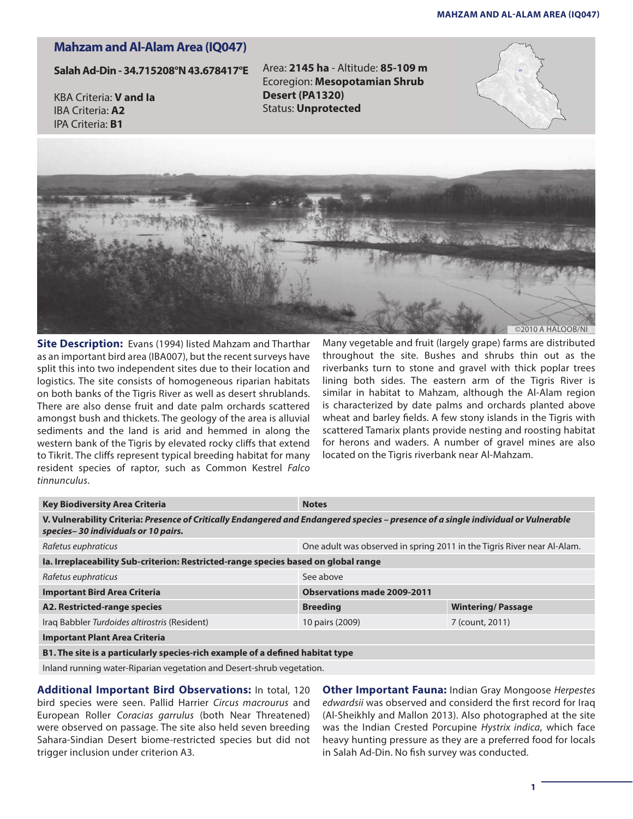## **Mahzam and Al-Alam Area (IQ047)**

**Salah Ad-Din - 34.715208°N 43.678417°E**

KBA Criteria: **V and Ia** IBA Criteria: **A2** IPA Criteria: **B1**

Area: **2145 ha** - Altitude: **85-109 m** Ecoregion: **Mesopotamian Shrub Desert (PA1320)** Status: **Unprotected** 





**Site Description:** Evans (1994) listed Mahzam and Tharthar as an important bird area (IBA007), but the recent surveys have split this into two independent sites due to their location and logistics. The site consists of homogeneous riparian habitats on both banks of the Tigris River as well as desert shrublands. There are also dense fruit and date palm orchards scattered amongst bush and thickets. The geology of the area is alluvial sediments and the land is arid and hemmed in along the western bank of the Tigris by elevated rocky cliffs that extend to Tikrit. The cliffs represent typical breeding habitat for many resident species of raptor, such as Common Kestrel *Falco tinnunculus*.

Many vegetable and fruit (largely grape) farms are distributed throughout the site. Bushes and shrubs thin out as the riverbanks turn to stone and gravel with thick poplar trees lining both sides. The eastern arm of the Tigris River is similar in habitat to Mahzam, although the Al-Alam region is characterized by date palms and orchards planted above wheat and barley fields. A few stony islands in the Tigris with scattered Tamarix plants provide nesting and roosting habitat for herons and waders. A number of gravel mines are also located on the Tigris riverbank near Al-Mahzam.

| <b>Key Biodiversity Area Criteria</b>                                                                                                                                                                                                         | <b>Notes</b>                                                            |                          |
|-----------------------------------------------------------------------------------------------------------------------------------------------------------------------------------------------------------------------------------------------|-------------------------------------------------------------------------|--------------------------|
| V. Vulnerability Criteria: Presence of Critically Endangered and Endangered species – presence of a single individual or Vulnerable<br>species-30 individuals or 10 pairs.                                                                    |                                                                         |                          |
| Rafetus euphraticus                                                                                                                                                                                                                           | One adult was observed in spring 2011 in the Tigris River near Al-Alam. |                          |
| Ia. Irreplaceability Sub-criterion: Restricted-range species based on global range                                                                                                                                                            |                                                                         |                          |
| Rafetus euphraticus                                                                                                                                                                                                                           | See above                                                               |                          |
| <b>Important Bird Area Criteria</b>                                                                                                                                                                                                           | <b>Observations made 2009-2011</b>                                      |                          |
| A2. Restricted-range species                                                                                                                                                                                                                  | <b>Breeding</b>                                                         | <b>Wintering/Passage</b> |
| Iraq Babbler Turdoides altirostris (Resident)                                                                                                                                                                                                 | 10 pairs (2009)                                                         | 7 (count, 2011)          |
| <b>Important Plant Area Criteria</b>                                                                                                                                                                                                          |                                                                         |                          |
| B1. The site is a particularly species-rich example of a defined habitat type                                                                                                                                                                 |                                                                         |                          |
| $\mathbf{r} = \mathbf{r} + \mathbf{r}$ , which is a set of the set of the set of the set of the set of the set of the set of the set of the set of the set of the set of the set of the set of the set of the set of the set of the set of th |                                                                         |                          |

Inland running water-Riparian vegetation and Desert-shrub vegetation.

**Additional Important Bird Observations:** In total, 120 bird species were seen. Pallid Harrier *Circus macrourus* and European Roller *Coracias garrulus* (both Near Threatened) were observed on passage. The site also held seven breeding Sahara-Sindian Desert biome-restricted species but did not trigger inclusion under criterion A3.

**Other Important Fauna:** Indian Gray Mongoose *Herpestes edwardsii* was observed and considerd the first record for Iraq (Al-Sheikhly and Mallon 2013). Also photographed at the site was the Indian Crested Porcupine *Hystrix indica*, which face heavy hunting pressure as they are a preferred food for locals in Salah Ad-Din. No fish survey was conducted.